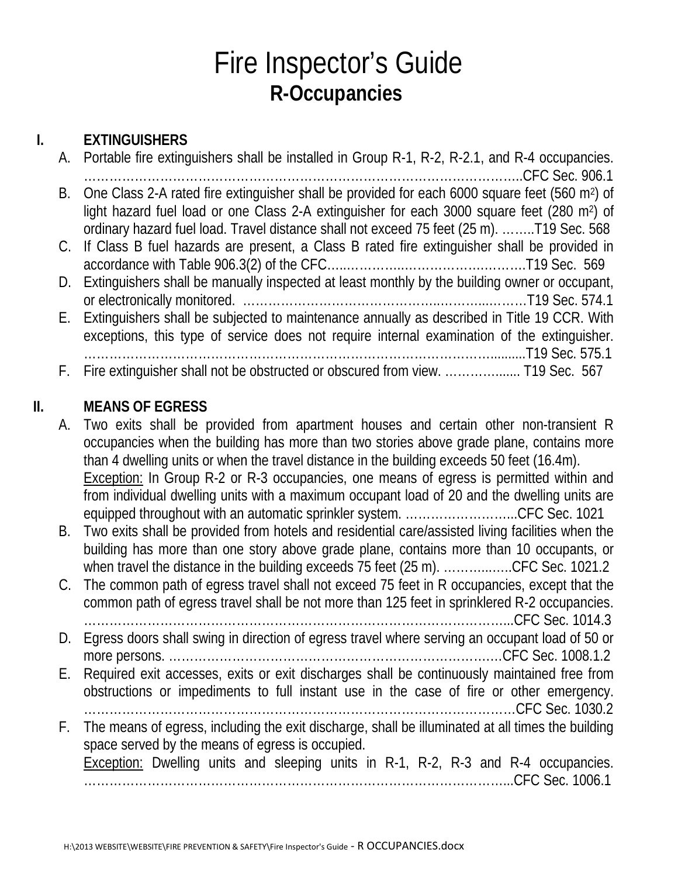## Fire Inspector's Guide **R-Occupancies**

### **I. EXTINGUISHERS**

| A. Portable fire extinguishers shall be installed in Group R-1, R-2, R-2.1, and R-4 occupancies.              |
|---------------------------------------------------------------------------------------------------------------|
|                                                                                                               |
| B. One Class 2-A rated fire extinguisher shall be provided for each 6000 square feet (560 m <sup>2</sup> ) of |
| light hazard fuel load or one Class 2-A extinguisher for each 3000 square feet (280 m <sup>2</sup> ) of       |
| ordinary hazard fuel load. Travel distance shall not exceed 75 feet (25 m). T19 Sec. 568                      |
| C. If Class B fuel hazards are present, a Class B rated fire extinguisher shall be provided in                |
|                                                                                                               |
| D. Extinguishers shall be manually inspected at least monthly by the building owner or occupant,              |
|                                                                                                               |
| E. Extinguishers shall be subjected to maintenance annually as described in Title 19 CCR. With                |
| exceptions, this type of service does not require internal examination of the extinguisher.                   |
|                                                                                                               |
| F. Fire extinguisher shall not be obstructed or obscured from view.  T19 Sec. 567                             |

### **II. MEANS OF EGRESS**

A. Two exits shall be provided from apartment houses and certain other non-transient R occupancies when the building has more than two stories above grade plane, contains more than 4 dwelling units or when the travel distance in the building exceeds 50 feet (16.4m). Exception: In Group R-2 or R-3 occupancies, one means of egress is permitted within and from individual dwelling units with a maximum occupant load of 20 and the dwelling units are equipped throughout with an automatic sprinkler system. ……………………...CFC Sec. 1021

- B. Two exits shall be provided from hotels and residential care/assisted living facilities when the building has more than one story above grade plane, contains more than 10 occupants, or when travel the distance in the building exceeds 75 feet (25 m). ................CFC Sec. 1021.2
- C. The common path of egress travel shall not exceed 75 feet in R occupancies, except that the common path of egress travel shall be not more than 125 feet in sprinklered R-2 occupancies. ………………………………………………………………………………………...CFC Sec. 1014.3
- D. Egress doors shall swing in direction of egress travel where serving an occupant load of 50 or more persons. ………………………………………………………………….…CFC Sec. 1008.1.2
- E. Required exit accesses, exits or exit discharges shall be continuously maintained free from obstructions or impediments to full instant use in the case of fire or other emergency.
- …………………………………………………………………………………………CFC Sec. 1030.2 F. The means of egress, including the exit discharge, shall be illuminated at all times the building space served by the means of egress is occupied. Exception: Dwelling units and sleeping units in R-1, R-2, R-3 and R-4 occupancies.

………………………………………………………………………………………...CFC Sec. 1006.1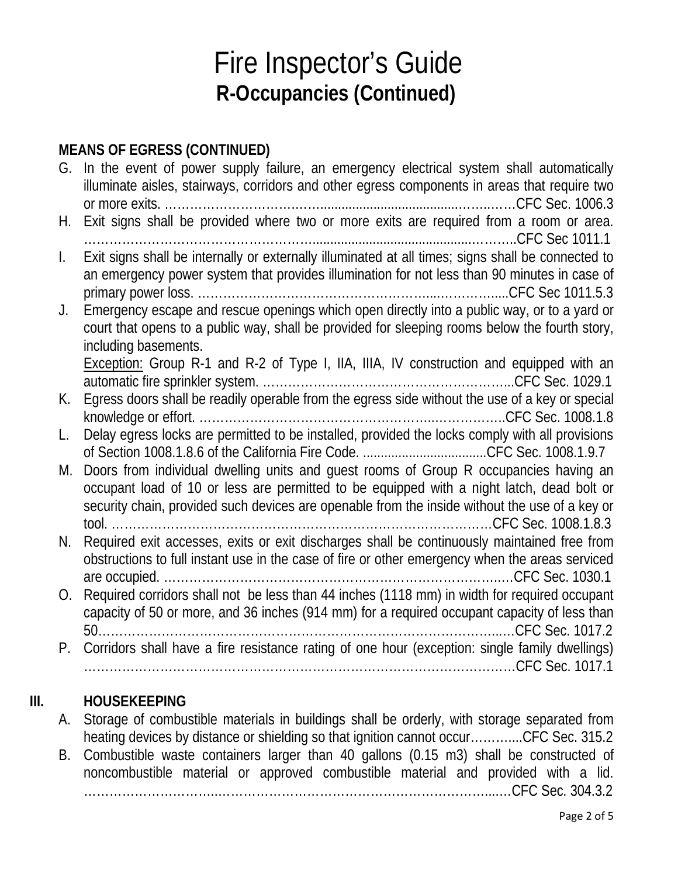#### **MEANS OF EGRESS (CONTINUED)**

|                | G. In the event of power supply failure, an emergency electrical system shall automatically<br>illuminate aisles, stairways, corridors and other egress components in areas that require two                                                                                         |
|----------------|--------------------------------------------------------------------------------------------------------------------------------------------------------------------------------------------------------------------------------------------------------------------------------------|
| Н.             | Exit signs shall be provided where two or more exits are required from a room or area.                                                                                                                                                                                               |
| $\mathbf{I}$ . | Exit signs shall be internally or externally illuminated at all times; signs shall be connected to<br>an emergency power system that provides illumination for not less than 90 minutes in case of                                                                                   |
| J.             | Emergency escape and rescue openings which open directly into a public way, or to a yard or<br>court that opens to a public way, shall be provided for sleeping rooms below the fourth story,<br>including basements.                                                                |
|                | <b>Exception:</b> Group R-1 and R-2 of Type I, IIA, IIIA, IV construction and equipped with an                                                                                                                                                                                       |
| К.             | Egress doors shall be readily operable from the egress side without the use of a key or special                                                                                                                                                                                      |
| L.             | Delay egress locks are permitted to be installed, provided the locks comply with all provisions<br>of Section 1008.1.8.6 of the California Fire Code. CFC Sec. 1008.1.9.7                                                                                                            |
| M.             | Doors from individual dwelling units and guest rooms of Group R occupancies having an<br>occupant load of 10 or less are permitted to be equipped with a night latch, dead bolt or<br>security chain, provided such devices are openable from the inside without the use of a key or |
| N.             | Required exit accesses, exits or exit discharges shall be continuously maintained free from<br>obstructions to full instant use in the case of fire or other emergency when the areas serviced                                                                                       |
| O.             | Required corridors shall not be less than 44 inches (1118 mm) in width for required occupant                                                                                                                                                                                         |
| Р.             | Corridors shall have a fire resistance rating of one hour (exception: single family dwellings)                                                                                                                                                                                       |

#### **III. HOUSEKEEPING**

A. Storage of combustible materials in buildings shall be orderly, with storage separated from heating devices by distance or shielding so that ignition cannot occur………....CFC Sec. 315.2

B. Combustible waste containers larger than 40 gallons (0.15 m3) shall be constructed of noncombustible material or approved combustible material and provided with a lid. …………………………..………………………………………………………....…CFC Sec. 304.3.2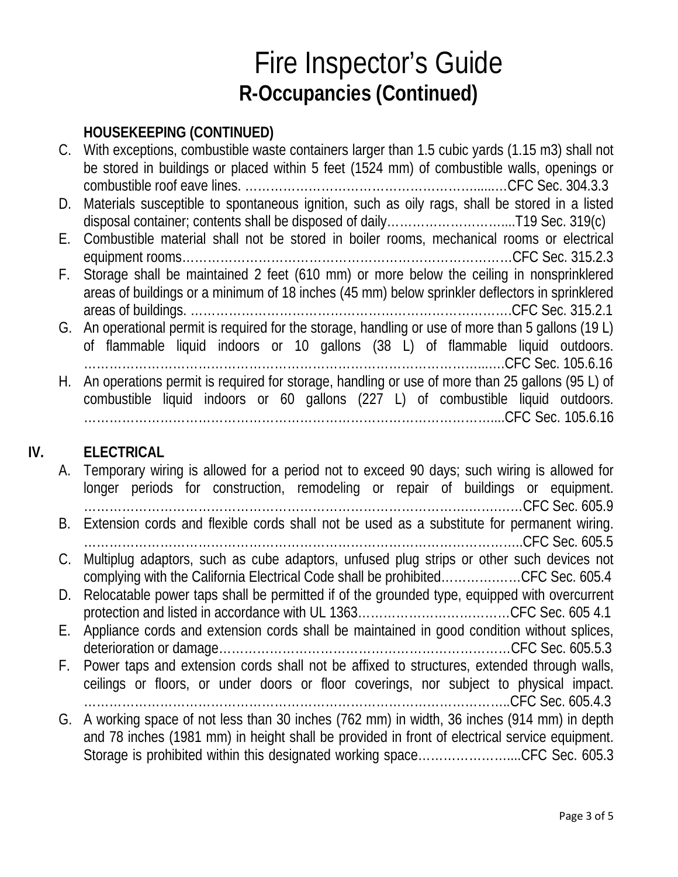#### **HOUSEKEEPING (CONTINUED)**

|     |      | C. With exceptions, combustible waste containers larger than 1.5 cubic yards (1.15 m3) shall not    |
|-----|------|-----------------------------------------------------------------------------------------------------|
|     |      | be stored in buildings or placed within 5 feet (1524 mm) of combustible walls, openings or          |
|     |      |                                                                                                     |
|     | D.   | Materials susceptible to spontaneous ignition, such as oily rags, shall be stored in a listed       |
|     |      |                                                                                                     |
|     |      | E. Combustible material shall not be stored in boiler rooms, mechanical rooms or electrical         |
|     |      |                                                                                                     |
|     |      | F. Storage shall be maintained 2 feet (610 mm) or more below the ceiling in nonsprinklered          |
|     |      | areas of buildings or a minimum of 18 inches (45 mm) below sprinkler deflectors in sprinklered      |
|     |      |                                                                                                     |
|     |      | G. An operational permit is required for the storage, handling or use of more than 5 gallons (19 L) |
|     |      | of flammable liquid indoors or 10 gallons (38 L) of flammable liquid outdoors.                      |
|     |      |                                                                                                     |
|     | H. . | An operations permit is required for storage, handling or use of more than 25 gallons (95 L) of     |
|     |      | combustible liquid indoors or 60 gallons (227 L) of combustible liquid outdoors.                    |
|     |      |                                                                                                     |
|     |      |                                                                                                     |
| IV. |      | <b>ELECTRICAL</b>                                                                                   |
|     |      | a Temperary wiring is allowed for a period not to exceed 00 dove such wiring is allowed for         |

A. Temporary wiring is allowed for a period not to exceed 90 days; such wiring is allowed for longer periods for construction, remodeling or repair of buildings or equipment. ……………………………………………………………………………….…….……CFC Sec. 605.9 B. Extension cords and flexible cords shall not be used as a substitute for permanent wiring. …………………………………………………………………………………………..CFC Sec. 605.5 C. Multiplug adaptors, such as cube adaptors, unfused plug strips or other such devices not complying with the California Electrical Code shall be prohibited………….……CFC Sec. 605.4 D. Relocatable power taps shall be permitted if of the grounded type, equipped with overcurrent protection and listed in accordance with UL 1363………………………………CFC Sec. 605 4.1 E. Appliance cords and extension cords shall be maintained in good condition without splices, deterioration or damage……………………………………………………………CFC Sec. 605.5.3 F. Power taps and extension cords shall not be affixed to structures, extended through walls, ceilings or floors, or under doors or floor coverings, nor subject to physical impact. ………………………………………………………………………………………..CFC Sec. 605.4.3 G. A working space of not less than 30 inches (762 mm) in width, 36 inches (914 mm) in depth and 78 inches (1981 mm) in height shall be provided in front of electrical service equipment. Storage is prohibited within this designated working space........................CFC Sec. 605.3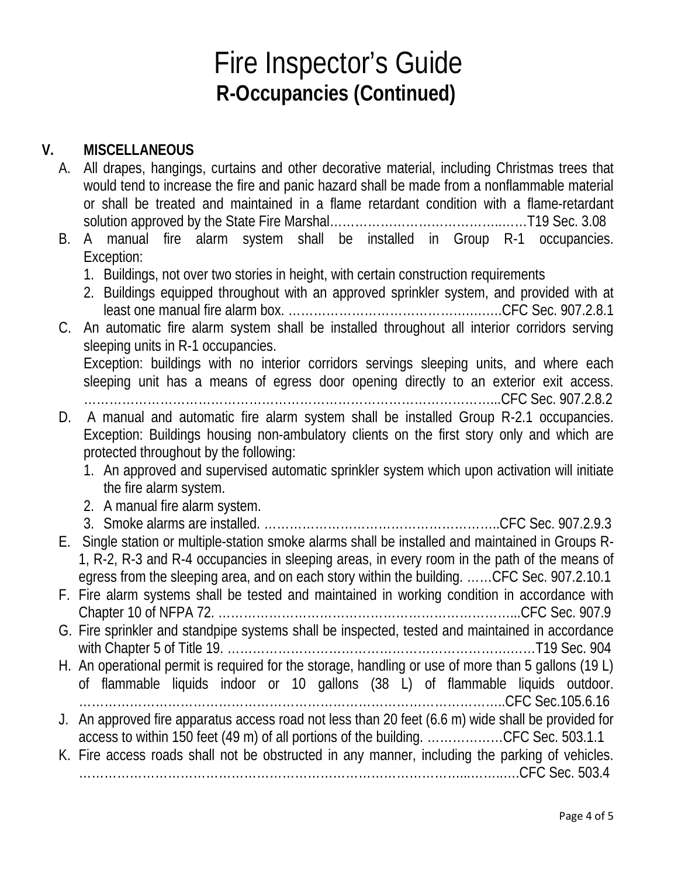#### **V. MISCELLANEOUS**

- A. All drapes, hangings, curtains and other decorative material, including Christmas trees that would tend to increase the fire and panic hazard shall be made from a nonflammable material or shall be treated and maintained in a flame retardant condition with a flame-retardant solution approved by the State Fire Marshal…………………………………..……T19 Sec. 3.08
- B. A manual fire alarm system shall be installed in Group R-1 occupancies. Exception:
	- 1. Buildings, not over two stories in height, with certain construction requirements
	- 2. Buildings equipped throughout with an approved sprinkler system, and provided with at least one manual fire alarm box. …………………………………….….….CFC Sec. 907.2.8.1
- C. An automatic fire alarm system shall be installed throughout all interior corridors serving sleeping units in R-1 occupancies. Exception: buildings with no interior corridors servings sleeping units, and where each

sleeping unit has a means of egress door opening directly to an exterior exit access. ……………………………………………………………………………………...CFC Sec. 907.2.8.2

- D. A manual and automatic fire alarm system shall be installed Group R-2.1 occupancies.
	- Exception: Buildings housing non-ambulatory clients on the first story only and which are protected throughout by the following:
		- 1. An approved and supervised automatic sprinkler system which upon activation will initiate the fire alarm system.
		- 2. A manual fire alarm system.
		- 3. Smoke alarms are installed. ………………………………………………..CFC Sec. 907.2.9.3
- E. Single station or multiple-station smoke alarms shall be installed and maintained in Groups R-1, R-2, R-3 and R-4 occupancies in sleeping areas, in every room in the path of the means of egress from the sleeping area, and on each story within the building. ……CFC Sec. 907.2.10.1

F. Fire alarm systems shall be tested and maintained in working condition in accordance with Chapter 10 of NFPA 72. ……………………………………………………………...CFC Sec. 907.9

- G. Fire sprinkler and standpipe systems shall be inspected, tested and maintained in accordance with Chapter 5 of Title 19. ………………………………………………………….……T19 Sec. 904
- H. An operational permit is required for the storage, handling or use of more than 5 gallons (19 L) of flammable liquids indoor or 10 gallons (38 L) of flammable liquids outdoor. ………………………………………………………………………………………..CFC Sec.105.6.16
- J. An approved fire apparatus access road not less than 20 feet (6.6 m) wide shall be provided for access to within 150 feet (49 m) of all portions of the building. ………………CFC Sec. 503.1.1
- K. Fire access roads shall not be obstructed in any manner, including the parking of vehicles. ………………………………………………………………………………...……..….CFC Sec. 503.4